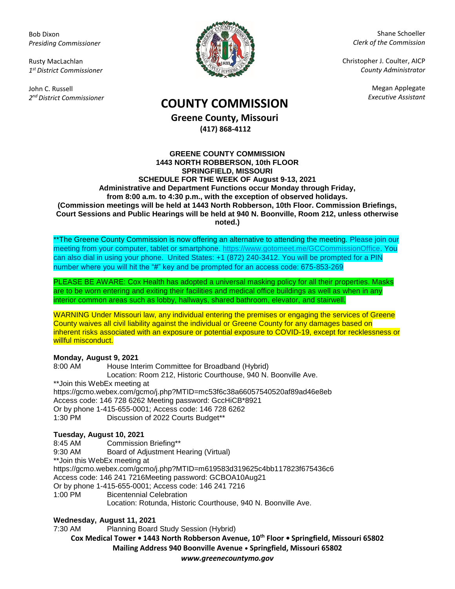Bob Dixon *Presiding Commissioner*

Rusty MacLachlan *1 st District Commissioner*

John C. Russell *2 nd District Commissioner*



Shane Schoeller *Clerk of the Commission*

Christopher J. Coulter, AICP *County Administrator*

Megan Applegate

# *Executive Assistant* **COUNTY COMMISSION**

**Greene County, Missouri (417) 868-4112**

#### **GREENE COUNTY COMMISSION 1443 NORTH ROBBERSON, 10th FLOOR SPRINGFIELD, MISSOURI SCHEDULE FOR THE WEEK OF August 9-13, 2021 Administrative and Department Functions occur Monday through Friday, from 8:00 a.m. to 4:30 p.m., with the exception of observed holidays. (Commission meetings will be held at 1443 North Robberson, 10th Floor. Commission Briefings, Court Sessions and Public Hearings will be held at 940 N. Boonville, Room 212, unless otherwise noted.)**

\*\*The Greene County Commission is now offering an alternative to attending the meeting. Please join our meeting from your computer, tablet or smartphone. [https://www.gotomeet.me/GCCommissionOffice.](https://www.gotomeet.me/GCCommissionOffice) You can also dial in using your phone. United States: +1 (872) 240-3412. You will be prompted for a PIN number where you will hit the "#" key and be prompted for an access code: 675-853-269

PLEASE BE AWARE: Cox Health has adopted a universal masking policy for all their properties. Masks are to be worn entering and exiting their facilities and medical office buildings as well as when in any interior common areas such as lobby, hallways, shared bathroom, elevator, and stairwell.

WARNING Under Missouri law, any individual entering the premises or engaging the services of Greene County waives all civil liability against the individual or Greene County for any damages based on inherent risks associated with an exposure or potential exposure to COVID-19, except for recklessness or willful misconduct.

### **Monday, August 9, 2021**

8:00 AM House Interim Committee for Broadband (Hybrid) Location: Room 212, Historic Courthouse, 940 N. Boonville Ave. \*\*Join this WebEx meeting at https://gcmo.webex.com/gcmo/j.php?MTID=mc53f6c38a66057540520af89ad46e8eb Access code: 146 728 6262 Meeting password: GccHiCB\*8921 Or by phone 1-415-655-0001; Access code: 146 728 6262 1:30 PM Discussion of 2022 Courts Budget\*\*

## **Tuesday, August 10, 2021**

8:45 AM Commission Briefing\*\*

9:30 AM Board of Adjustment Hearing (Virtual)

\*\*Join this WebEx meeting at

https://gcmo.webex.com/gcmo/j.php?MTID=m619583d319625c4bb117823f675436c6

Access code: 146 241 7216Meeting password: GCBOA10Aug21

Or by phone 1-415-655-0001; Access code: 146 241 7216

1:00 PM Bicentennial Celebration

Location: Rotunda, Historic Courthouse, 940 N. Boonville Ave.

### **Wednesday, August 11, 2021**

7:30 AM Planning Board Study Session (Hybrid)

**Cox Medical Tower • 1443 North Robberson Avenue, 10th Floor • Springfield, Missouri 65802 Mailing Address 940 Boonville Avenue • Springfield, Missouri 65802**

*www.greenecountymo.gov*